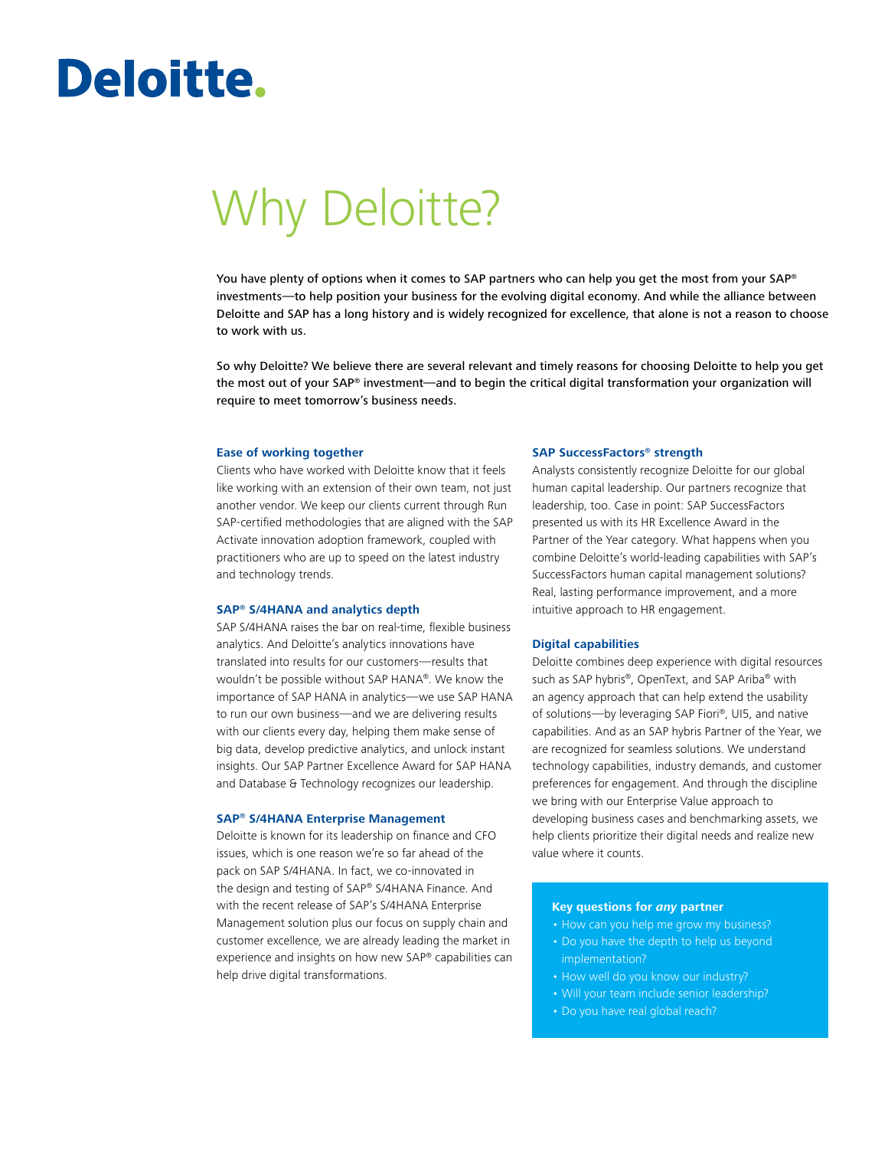# Deloitte.

# Why Deloitte?

You have plenty of options when it comes to SAP partners who can help you get the most from your SAP® investments—to help position your business for the evolving digital economy. And while the alliance between Deloitte and SAP has a long history and is widely recognized for excellence, that alone is not a reason to choose to work with us.

So why Deloitte? We believe there are several relevant and timely reasons for choosing Deloitte to help you get the most out of your SAP® investment—and to begin the critical digital transformation your organization will require to meet tomorrow's business needs.

#### **Ease of working together**

Clients who have worked with Deloitte know that it feels like working with an extension of their own team, not just another vendor. We keep our clients current through Run SAP-certified methodologies that are aligned with the SAP Activate innovation adoption framework, coupled with practitioners who are up to speed on the latest industry and technology trends.

### **SAP® S/4HANA and analytics depth**

SAP S/4HANA raises the bar on real-time, flexible business analytics. And Deloitte's analytics innovations have translated into results for our customers—results that wouldn't be possible without SAP HANA®. We know the importance of SAP HANA in analytics—we use SAP HANA to run our own business—and we are delivering results with our clients every day, helping them make sense of big data, develop predictive analytics, and unlock instant insights. Our SAP Partner Excellence Award for SAP HANA and Database & Technology recognizes our leadership.

#### **SAP® S/4HANA Enterprise Management**

Deloitte is known for its leadership on finance and CFO issues, which is one reason we're so far ahead of the pack on SAP S/4HANA. In fact, we co-innovated in the design and testing of SAP® S/4HANA Finance. And with the recent release of SAP's S/4HANA Enterprise Management solution plus our focus on supply chain and customer excellence, we are already leading the market in experience and insights on how new SAP® capabilities can help drive digital transformations.

#### **SAP SuccessFactors® strength**

Analysts consistently recognize Deloitte for our global human capital leadership. Our partners recognize that leadership, too. Case in point: SAP SuccessFactors presented us with its HR Excellence Award in the Partner of the Year category. What happens when you combine Deloitte's world-leading capabilities with SAP's SuccessFactors human capital management solutions? Real, lasting performance improvement, and a more intuitive approach to HR engagement.

### **Digital capabilities**

Deloitte combines deep experience with digital resources such as SAP hybris®, OpenText, and SAP Ariba® with an agency approach that can help extend the usability of solutions—by leveraging SAP Fiori®, UI5, and native capabilities. And as an SAP hybris Partner of the Year, we are recognized for seamless solutions. We understand technology capabilities, industry demands, and customer preferences for engagement. And through the discipline we bring with our Enterprise Value approach to developing business cases and benchmarking assets, we help clients prioritize their digital needs and realize new value where it counts.

#### **Key questions for** *any* **partner**

- How can you help me grow my business?
- Do you have the depth to help us beyond implementation?
- How well do you know our industry?
- Will your team include senior leadership?
- Do you have real global reach?